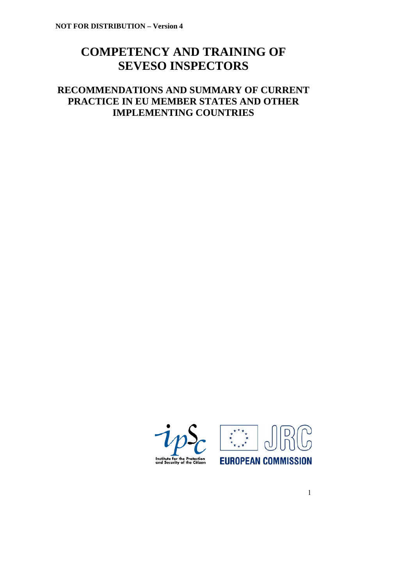# **COMPETENCY AND TRAINING OF SEVESO INSPECTORS**

## **RECOMMENDATIONS AND SUMMARY OF CURRENT PRACTICE IN EU MEMBER STATES AND OTHER IMPLEMENTING COUNTRIES**



1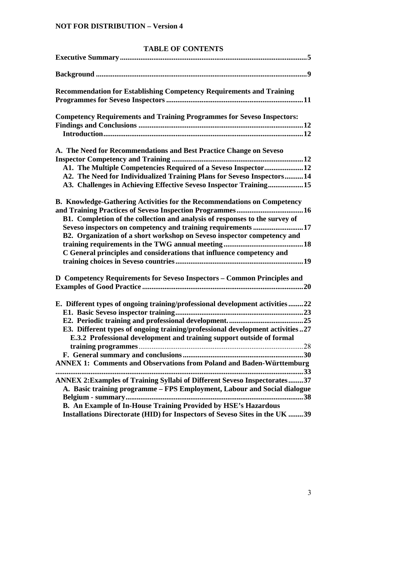## **TABLE OF CONTENTS**

| <b>Recommendation for Establishing Competency Requirements and Training</b>                                                                                                                                                                                                                                                                                                |
|----------------------------------------------------------------------------------------------------------------------------------------------------------------------------------------------------------------------------------------------------------------------------------------------------------------------------------------------------------------------------|
| <b>Competency Requirements and Training Programmes for Seveso Inspectors:</b>                                                                                                                                                                                                                                                                                              |
| A. The Need for Recommendations and Best Practice Change on Seveso<br>A1. The Multiple Competencies Required of a Seveso Inspector12<br>A2. The Need for Individualized Training Plans for Seveso Inspectors14<br>A3. Challenges in Achieving Effective Seveso Inspector Training15                                                                                        |
| B. Knowledge-Gathering Activities for the Recommendations on Competency<br>B1. Completion of the collection and analysis of responses to the survey of<br>Seveso inspectors on competency and training requirements 17<br>B2. Organization of a short workshop on Seveso inspector competency and<br>C General principles and considerations that influence competency and |
| D Competency Requirements for Seveso Inspectors - Common Principles and                                                                                                                                                                                                                                                                                                    |
| E. Different types of ongoing training/professional development activities 22<br>E3. Different types of ongoing training/professional development activities27<br>E.3.2 Professional development and training support outside of formal<br><b>ANNEX 1: Comments and Observations from Poland and Baden-Württemburg</b>                                                     |
| ANNEX 2: Examples of Training Syllabi of Different Seveso Inspectorates37<br>A. Basic training programme - FPS Employment, Labour and Social dialogue<br>B. An Example of In-House Training Provided by HSE's Hazardous<br>Installations Directorate (HID) for Inspectors of Seveso Sites in the UK 39                                                                     |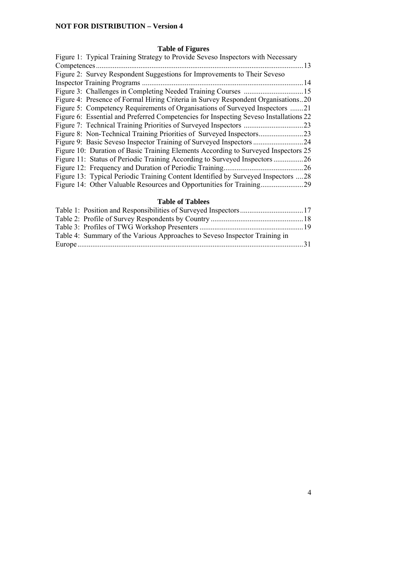## **Table of Figures**

| Figure 1: Typical Training Strategy to Provide Seveso Inspectors with Necessary       |  |
|---------------------------------------------------------------------------------------|--|
| . 13                                                                                  |  |
| Figure 2: Survey Respondent Suggestions for Improvements to Their Seveso              |  |
| 14                                                                                    |  |
|                                                                                       |  |
| Figure 4: Presence of Formal Hiring Criteria in Survey Respondent Organisations20     |  |
| Figure 5: Competency Requirements of Organisations of Surveyed Inspectors 21          |  |
| Figure 6: Essential and Preferred Competencies for Inspecting Seveso Installations 22 |  |
| .23                                                                                   |  |
|                                                                                       |  |
|                                                                                       |  |
| Figure 10: Duration of Basic Training Elements According to Surveyed Inspectors 25    |  |
| Figure 11: Status of Periodic Training According to Surveyed Inspectors<br>.26        |  |
| .26                                                                                   |  |
| Figure 13: Typical Periodic Training Content Identified by Surveyed Inspectors 28     |  |
| Figure 14: Other Valuable Resources and Opportunities for Training.<br>29             |  |

## **Table of Tablees**

| Table 4: Summary of the Various Approaches to Seveso Inspector Training in |  |
|----------------------------------------------------------------------------|--|
|                                                                            |  |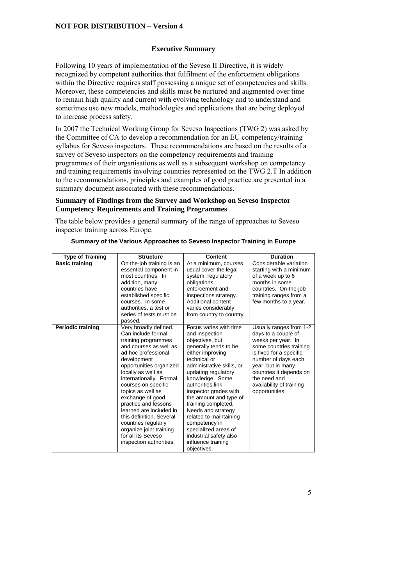#### **Executive Summary**

Following 10 years of implementation of the Seveso II Directive, it is widely recognized by competent authorities that fulfilment of the enforcement obligations within the Directive requires staff possessing a unique set of competencies and skills. Moreover, these competencies and skills must be nurtured and augmented over time to remain high quality and current with evolving technology and to understand and sometimes use new models, methodologies and applications that are being deployed to increase process safety.

In 2007 the Technical Working Group for Seveso Inspections (TWG 2) was asked by the Committee of CA to develop a recommendation for an EU competency/training syllabus for Seveso inspectors. These recommendations are based on the results of a survey of Seveso inspectors on the competency requirements and training programmes of their organisations as well as a subsequent workshop on competency and training requirements involving countries represented on the TWG 2.T In addition to the recommendations, principles and examples of good practice are presented in a summary document associated with these recommendations.

#### **Summary of Findings from the Survey and Workshop on Seveso Inspector Competency Requirements and Training Programmes**

The table below provides a general summary of the range of approaches to Seveso inspector training across Europe.

| <b>Type of Training</b>  | <b>Structure</b>                                                                                                                                                                                                                                                                                                                                                                                                                                                 | Content                                                                                                                                                                                                                                                                                                                                                                                                                                               | <b>Duration</b>                                                                                                                                                                                                                                                 |
|--------------------------|------------------------------------------------------------------------------------------------------------------------------------------------------------------------------------------------------------------------------------------------------------------------------------------------------------------------------------------------------------------------------------------------------------------------------------------------------------------|-------------------------------------------------------------------------------------------------------------------------------------------------------------------------------------------------------------------------------------------------------------------------------------------------------------------------------------------------------------------------------------------------------------------------------------------------------|-----------------------------------------------------------------------------------------------------------------------------------------------------------------------------------------------------------------------------------------------------------------|
| <b>Basic training</b>    | On the-job training is an<br>essential component in<br>most countries. In<br>addition, many<br>countries have<br>established specific<br>courses. In some<br>authorities, a test or<br>series of tests must be<br>passed.                                                                                                                                                                                                                                        | At a minimum, courses<br>usual cover the legal<br>system, regulatory<br>obligations,<br>enforcement and<br>inspections strategy.<br>Additional content<br>varies considerably<br>from country to country.                                                                                                                                                                                                                                             | Considerable variation<br>starting with a minimum<br>of a week up to 6<br>months in some<br>countries. On-the-job<br>training ranges from a<br>few months to a year.                                                                                            |
| <b>Periodic training</b> | Very broadly defined.<br>Can include formal<br>training programmes<br>and courses as well as<br>ad hoc professional<br>development<br>opportunities organized<br>locally as well as<br>internationally. Formal<br>courses on specific<br>topics as well as<br>exchange of good<br>practice and lessons<br>learned are included in<br>this definition. Several<br>countries regularly<br>organize joint training<br>for all its Seveso<br>inspection authorities. | Focus varies with time<br>and inspection<br>objectives, but<br>generally tends to be<br>either improving<br>technical or<br>administrative skills, or<br>updating regulatory<br>knowledge. Some<br>authorities link<br>inspector grades with<br>the amount and type of<br>training completed.<br>Needs and strategy<br>related to maintaining<br>competency in<br>specialized areas of<br>industrial safety also<br>influence training<br>objectives. | Usually ranges from 1-2<br>days to a couple of<br>weeks per year. In<br>some countries training<br>is fixed for a specific<br>number of days each<br>year, but in many<br>countries it depends on<br>the need and<br>availability of training<br>opportunities. |

**Summary of the Various Approaches to Seveso Inspector Training in Europe**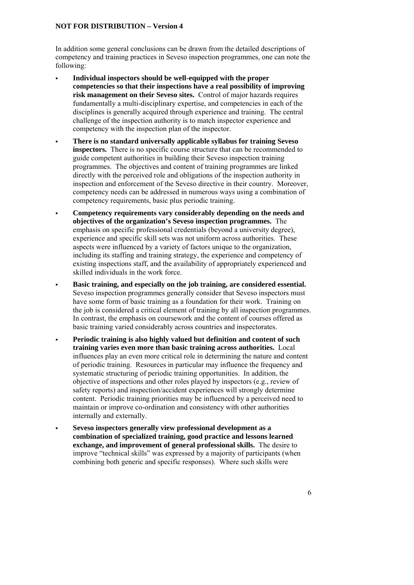In addition some general conclusions can be drawn from the detailed descriptions of competency and training practices in Seveso inspection programmes, one can note the following:

- **Individual inspectors should be well-equipped with the proper competencies so that their inspections have a real possibility of improving risk management on their Seveso sites.** Control of major hazards requires fundamentally a multi-disciplinary expertise, and competencies in each of the disciplines is generally acquired through experience and training. The central challenge of the inspection authority is to match inspector experience and competency with the inspection plan of the inspector.
- **There is no standard universally applicable syllabus for training Seveso inspectors.** There is no specific course structure that can be recommended to guide competent authorities in building their Seveso inspection training programmes. The objectives and content of training programmes are linked directly with the perceived role and obligations of the inspection authority in inspection and enforcement of the Seveso directive in their country. Moreover, competency needs can be addressed in numerous ways using a combination of competency requirements, basic plus periodic training.
- **Competency requirements vary considerably depending on the needs and objectives of the organization's Seveso inspection programmes.** The emphasis on specific professional credentials (beyond a university degree), experience and specific skill sets was not uniform across authorities. These aspects were influenced by a variety of factors unique to the organization, including its staffing and training strategy, the experience and competency of existing inspections staff, and the availability of appropriately experienced and skilled individuals in the work force.
- **Basic training, and especially on the job training, are considered essential.**  Seveso inspection programmes generally consider that Seveso inspectors must have some form of basic training as a foundation for their work. Training on the job is considered a critical element of training by all inspection programmes. In contrast, the emphasis on coursework and the content of courses offered as basic training varied considerably across countries and inspectorates.
- **Periodic training is also highly valued but definition and content of such training varies even more than basic training across authorities.** Local influences play an even more critical role in determining the nature and content of periodic training. Resources in particular may influence the frequency and systematic structuring of periodic training opportunities. In addition, the objective of inspections and other roles played by inspectors (e.g., review of safety reports) and inspection/accident experiences will strongly determine content. Periodic training priorities may be influenced by a perceived need to maintain or improve co-ordination and consistency with other authorities internally and externally.
- **Seveso inspectors generally view professional development as a combination of specialized training, good practice and lessons learned exchange, and improvement of general professional skills.** The desire to improve "technical skills" was expressed by a majority of participants (when combining both generic and specific responses). Where such skills were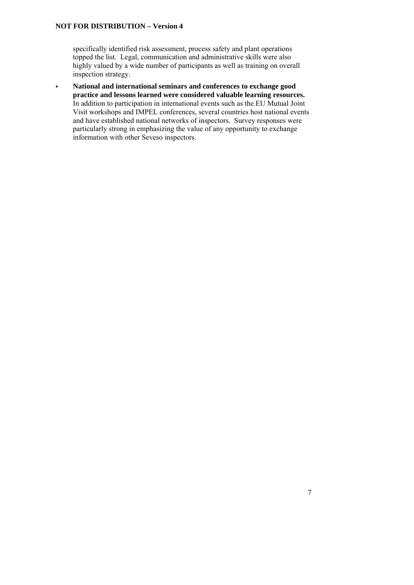specifically identified risk assessment, process safety and plant operations topped the list. Legal, communication and administrative skills were also highly valued by a wide number of participants as well as training on overall inspection strategy.

 **National and international seminars and conferences to exchange good practice and lessons learned were considered valuable learning resources.**  In addition to participation in international events such as the EU Mutual Joint Visit workshops and IMPEL conferences, several countries host national events and have established national networks of inspectors. Survey responses were particularly strong in emphasizing the value of any opportunity to exchange information with other Seveso inspectors.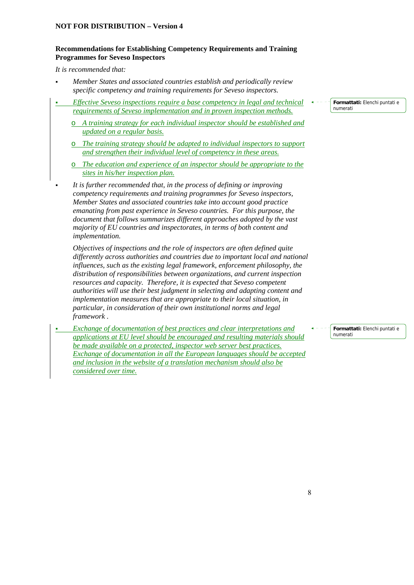## **Recommendations for Establishing Competency Requirements and Training Programmes for Seveso Inspectors**

*It is recommended that:* 

- *Member States and associated countries establish and periodically review specific competency and training requirements for Seveso inspectors.*
- *Effective Seveso inspections require a base competency in legal and technical requirements of Seveso implementation and in proven inspection methods.* 
	- o *A training strategy for each individual inspector should be established and updated on a regular basis.*
	- o *The training strategy should be adapted to individual inspectors to support and strengthen their individual level of competency in these areas.*
	- o *The education and experience of an inspector should be appropriate to the sites in his/her inspection plan.*
- *It is further recommended that, in the process of defining or improving competency requirements and training programmes for Seveso inspectors, Member States and associated countries take into account good practice emanating from past experience in Seveso countries. For this purpose, the document that follows summarizes different approaches adopted by the vast majority of EU countries and inspectorates, in terms of both content and implementation.*

*Objectives of inspections and the role of inspectors are often defined quite differently across authorities and countries due to important local and national influences, such as the existing legal framework, enforcement philosophy, the distribution of responsibilities between organizations, and current inspection resources and capacity. Therefore, it is expected that Seveso competent authorities will use their best judgment in selecting and adapting content and implementation measures that are appropriate to their local situation, in particular, in consideration of their own institutional norms and legal framework .* 

 *Exchange of documentation of best practices and clear interpretations and applications at EU level should be encouraged and resulting materials should be made available on a protected, inspector web server best practices. Exchange of documentation in all the European languages should be accepted and inclusion in the website of a translation mechanism should also be considered over time.* 

**Formattati:** Elenchi puntati e numerati

**Formattati:** Elenchi puntati e numerati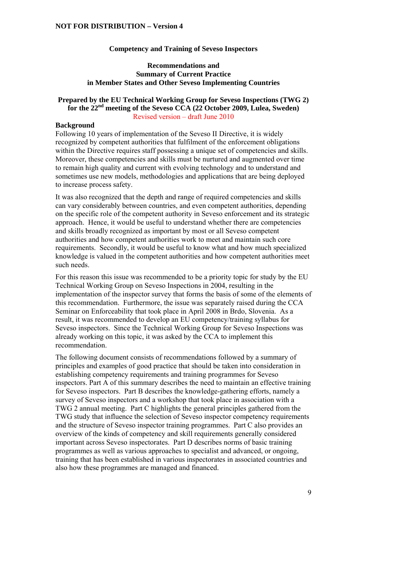#### **Competency and Training of Seveso Inspectors**

#### **Recommendations and Summary of Current Practice in Member States and Other Seveso Implementing Countries**

#### **Prepared by the EU Technical Working Group for Seveso Inspections (TWG 2) for the 22nd meeting of the Seveso CCA (22 October 2009, Lulea, Sweden)**  Revised version – draft June 2010

#### **Background**

Following 10 years of implementation of the Seveso II Directive, it is widely recognized by competent authorities that fulfilment of the enforcement obligations within the Directive requires staff possessing a unique set of competencies and skills. Moreover, these competencies and skills must be nurtured and augmented over time to remain high quality and current with evolving technology and to understand and sometimes use new models, methodologies and applications that are being deployed to increase process safety.

It was also recognized that the depth and range of required competencies and skills can vary considerably between countries, and even competent authorities, depending on the specific role of the competent authority in Seveso enforcement and its strategic approach. Hence, it would be useful to understand whether there are competencies and skills broadly recognized as important by most or all Seveso competent authorities and how competent authorities work to meet and maintain such core requirements. Secondly, it would be useful to know what and how much specialized knowledge is valued in the competent authorities and how competent authorities meet such needs.

For this reason this issue was recommended to be a priority topic for study by the EU Technical Working Group on Seveso Inspections in 2004, resulting in the implementation of the inspector survey that forms the basis of some of the elements of this recommendation. Furthermore, the issue was separately raised during the CCA Seminar on Enforceability that took place in April 2008 in Brdo, Slovenia. As a result, it was recommended to develop an EU competency/training syllabus for Seveso inspectors. Since the Technical Working Group for Seveso Inspections was already working on this topic, it was asked by the CCA to implement this recommendation.

The following document consists of recommendations followed by a summary of principles and examples of good practice that should be taken into consideration in establishing competency requirements and training programmes for Seveso inspectors. Part A of this summary describes the need to maintain an effective training for Seveso inspectors. Part B describes the knowledge-gathering efforts, namely a survey of Seveso inspectors and a workshop that took place in association with a TWG 2 annual meeting. Part C highlights the general principles gathered from the TWG study that influence the selection of Seveso inspector competency requirements and the structure of Seveso inspector training programmes. Part C also provides an overview of the kinds of competency and skill requirements generally considered important across Seveso inspectorates. Part D describes norms of basic training programmes as well as various approaches to specialist and advanced, or ongoing, training that has been established in various inspectorates in associated countries and also how these programmes are managed and financed.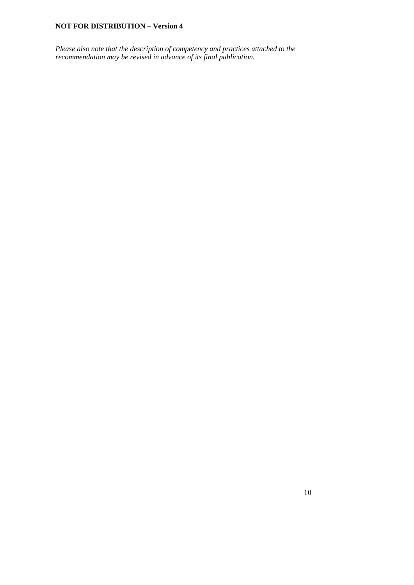*Please also note that the description of competency and practices attached to the recommendation may be revised in advance of its final publication.*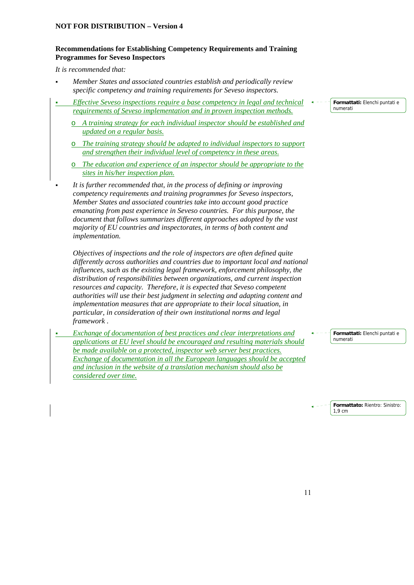## **Recommendations for Establishing Competency Requirements and Training Programmes for Seveso Inspectors**

*It is recommended that:* 

- *Member States and associated countries establish and periodically review specific competency and training requirements for Seveso inspectors.*
- *Effective Seveso inspections require a base competency in legal and technical requirements of Seveso implementation and in proven inspection methods.* 
	- o *A training strategy for each individual inspector should be established and updated on a regular basis.*
	- o *The training strategy should be adapted to individual inspectors to support and strengthen their individual level of competency in these areas.*
	- o *The education and experience of an inspector should be appropriate to the sites in his/her inspection plan.*
- *It is further recommended that, in the process of defining or improving competency requirements and training programmes for Seveso inspectors, Member States and associated countries take into account good practice emanating from past experience in Seveso countries. For this purpose, the document that follows summarizes different approaches adopted by the vast majority of EU countries and inspectorates, in terms of both content and implementation.*

*Objectives of inspections and the role of inspectors are often defined quite differently across authorities and countries due to important local and national influences, such as the existing legal framework, enforcement philosophy, the distribution of responsibilities between organizations, and current inspection resources and capacity. Therefore, it is expected that Seveso competent authorities will use their best judgment in selecting and adapting content and implementation measures that are appropriate to their local situation, in particular, in consideration of their own institutional norms and legal framework .* 

 *Exchange of documentation of best practices and clear interpretations and applications at EU level should be encouraged and resulting materials should be made available on a protected, inspector web server best practices. Exchange of documentation in all the European languages should be accepted and inclusion in the website of a translation mechanism should also be considered over time.* 

**Formattati:** Elenchi puntati e numerati

**Formattati:** Elenchi puntati e numerati

**Formattato:** Rientro: Sinistro: 1,9 cm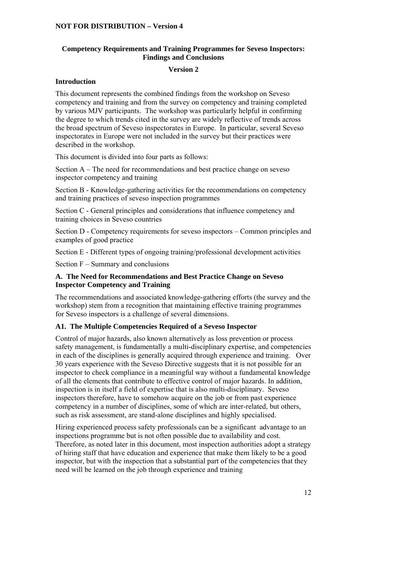## **Competency Requirements and Training Programmes for Seveso Inspectors: Findings and Conclusions**

#### **Version 2**

#### **Introduction**

This document represents the combined findings from the workshop on Seveso competency and training and from the survey on competency and training completed by various MJV participants. The workshop was particularly helpful in confirming the degree to which trends cited in the survey are widely reflective of trends across the broad spectrum of Seveso inspectorates in Europe. In particular, several Seveso inspectorates in Europe were not included in the survey but their practices were described in the workshop.

This document is divided into four parts as follows:

Section A – The need for recommendations and best practice change on seveso inspector competency and training

Section B - Knowledge-gathering activities for the recommendations on competency and training practices of seveso inspection programmes

Section C - General principles and considerations that influence competency and training choices in Seveso countries

Section D - Competency requirements for seveso inspectors – Common principles and examples of good practice

Section E - Different types of ongoing training/professional development activities

Section F – Summary and conclusions

#### **A. The Need for Recommendations and Best Practice Change on Seveso Inspector Competency and Training**

The recommendations and associated knowledge-gathering efforts (the survey and the workshop) stem from a recognition that maintaining effective training programmes for Seveso inspectors is a challenge of several dimensions.

## **A1. The Multiple Competencies Required of a Seveso Inspector**

Control of major hazards, also known alternatively as loss prevention or process safety management, is fundamentally a multi-disciplinary expertise, and competencies in each of the disciplines is generally acquired through experience and training. Over 30 years experience with the Seveso Directive suggests that it is not possible for an inspector to check compliance in a meaningful way without a fundamental knowledge of all the elements that contribute to effective control of major hazards. In addition, inspection is in itself a field of expertise that is also multi-disciplinary. Seveso inspectors therefore, have to somehow acquire on the job or from past experience competency in a number of disciplines, some of which are inter-related, but others, such as risk assessment, are stand-alone disciplines and highly specialised.

Hiring experienced process safety professionals can be a significant advantage to an inspections programme but is not often possible due to availability and cost. Therefore, as noted later in this document, most inspection authorities adopt a strategy of hiring staff that have education and experience that make them likely to be a good inspector, but with the inspection that a substantial part of the competencies that they need will be learned on the job through experience and training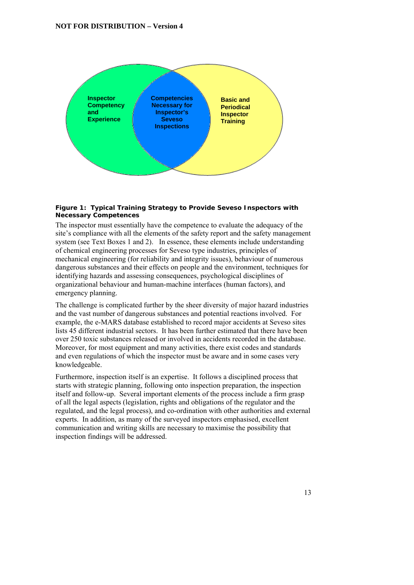

#### **Figure 1: Typical Training Strategy to Provide Seveso Inspectors with Necessary Competences**

The inspector must essentially have the competence to evaluate the adequacy of the site's compliance with all the elements of the safety report and the safety management system (see Text Boxes 1 and 2). In essence, these elements include understanding of chemical engineering processes for Seveso type industries, principles of mechanical engineering (for reliability and integrity issues), behaviour of numerous dangerous substances and their effects on people and the environment, techniques for identifying hazards and assessing consequences, psychological disciplines of organizational behaviour and human-machine interfaces (human factors), and emergency planning.

The challenge is complicated further by the sheer diversity of major hazard industries and the vast number of dangerous substances and potential reactions involved. For example, the e-MARS database established to record major accidents at Seveso sites lists 45 different industrial sectors. It has been further estimated that there have been over 250 toxic substances released or involved in accidents recorded in the database. Moreover, for most equipment and many activities, there exist codes and standards and even regulations of which the inspector must be aware and in some cases very knowledgeable.

Furthermore, inspection itself is an expertise. It follows a disciplined process that starts with strategic planning, following onto inspection preparation, the inspection itself and follow-up. Several important elements of the process include a firm grasp of all the legal aspects (legislation, rights and obligations of the regulator and the regulated, and the legal process), and co-ordination with other authorities and external experts. In addition, as many of the surveyed inspectors emphasised, excellent communication and writing skills are necessary to maximise the possibility that inspection findings will be addressed.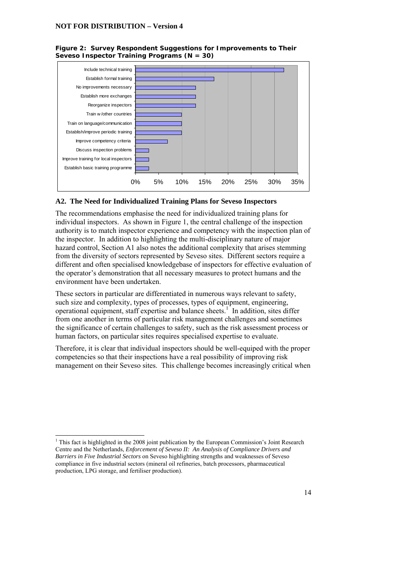



#### **A2. The Need for Individualized Training Plans for Seveso Inspectors**

The recommendations emphasise the need for individualized training plans for individual inspectors. As shown in Figure 1, the central challenge of the inspection authority is to match inspector experience and competency with the inspection plan of the inspector. In addition to highlighting the multi-disciplinary nature of major hazard control, Section A1 also notes the additional complexity that arises stemming from the diversity of sectors represented by Seveso sites. Different sectors require a different and often specialised knowledgebase of inspectors for effective evaluation of the operator's demonstration that all necessary measures to protect humans and the environment have been undertaken.

These sectors in particular are differentiated in numerous ways relevant to safety, such size and complexity, types of processes, types of equipment, engineering, operational equipment, staff expertise and balance sheets.<sup>1</sup> In addition, sites differ from one another in terms of particular risk management challenges and sometimes the significance of certain challenges to safety, such as the risk assessment process or human factors, on particular sites requires specialised expertise to evaluate.

Therefore, it is clear that individual inspectors should be well-equiped with the proper competencies so that their inspections have a real possibility of improving risk management on their Seveso sites. This challenge becomes increasingly critical when

<u>.</u>

<sup>&</sup>lt;sup>1</sup> This fact is highlighted in the 2008 joint publication by the European Commission's Joint Research Centre and the Netherlands, *Enforcement of Seveso II: An Analysis of Compliance Drivers and Barriers in Five Industrial Sectors* on Seveso highlighting strengths and weaknesses of Seveso compliance in five industrial sectors (mineral oil refineries, batch processors, pharmaceutical production, LPG storage, and fertiliser production).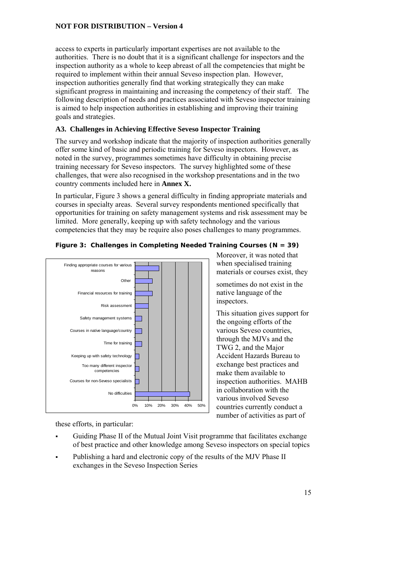access to experts in particularly important expertises are not available to the authorities. There is no doubt that it is a significant challenge for inspectors and the inspection authority as a whole to keep abreast of all the competencies that might be required to implement within their annual Seveso inspection plan. However, inspection authorities generally find that working strategically they can make significant progress in maintaining and increasing the competency of their staff. The following description of needs and practices associated with Seveso inspector training is aimed to help inspection authorities in establishing and improving their training goals and strategies.

## **A3. Challenges in Achieving Effective Seveso Inspector Training**

The survey and workshop indicate that the majority of inspection authorities generally offer some kind of basic and periodic training for Seveso inspectors. However, as noted in the survey, programmes sometimes have difficulty in obtaining precise training necessary for Seveso inspectors. The survey highlighted some of these challenges, that were also recognised in the workshop presentations and in the two country comments included here in **Annex X.**

In particular, Figure 3 shows a general difficulty in finding appropriate materials and courses in specialty areas. Several survey respondents mentioned specifically that opportunities for training on safety management systems and risk assessment may be limited. More generally, keeping up with safety technology and the various competencies that they may be require also poses challenges to many programmes.



## **Figure 3: Challenges in Completing Needed Training Courses (N = 39)**

these efforts, in particular:

- Guiding Phase II of the Mutual Joint Visit programme that facilitates exchange of best practice and other knowledge among Seveso inspectors on special topics
- Publishing a hard and electronic copy of the results of the MJV Phase II exchanges in the Seveso Inspection Series

Moreover, it was noted that when specialised training materials or courses exist, they

sometimes do not exist in the native language of the inspectors.

This situation gives support for the ongoing efforts of the various Seveso countries, through the MJVs and the TWG 2, and the Major Accident Hazards Bureau to exchange best practices and make them available to inspection authorities. MAHB in collaboration with the various involved Seveso countries currently conduct a number of activities as part of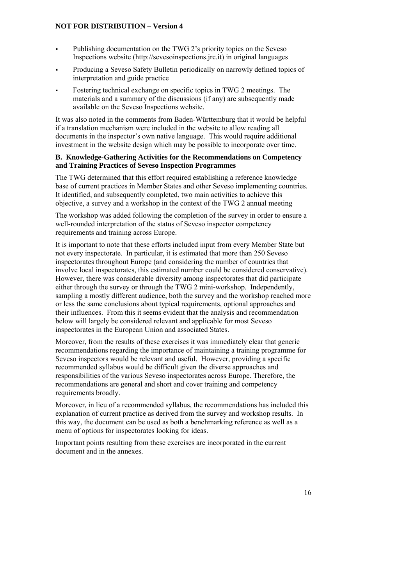- Publishing documentation on the TWG 2's priority topics on the Seveso Inspections website (http://sevesoinspections.jrc.it) in original languages
- Producing a Seveso Safety Bulletin periodically on narrowly defined topics of interpretation and guide practice
- Fostering technical exchange on specific topics in TWG 2 meetings. The materials and a summary of the discussions (if any) are subsequently made available on the Seveso Inspections website.

It was also noted in the comments from Baden-Württemburg that it would be helpful if a translation mechanism were included in the website to allow reading all documents in the inspector's own native language. This would require additional investment in the website design which may be possible to incorporate over time.

#### **B. Knowledge-Gathering Activities for the Recommendations on Competency and Training Practices of Seveso Inspection Programmes**

The TWG determined that this effort required establishing a reference knowledge base of current practices in Member States and other Seveso implementing countries. It identified, and subsequently completed, two main activities to achieve this objective, a survey and a workshop in the context of the TWG 2 annual meeting

The workshop was added following the completion of the survey in order to ensure a well-rounded interpretation of the status of Seveso inspector competency requirements and training across Europe.

It is important to note that these efforts included input from every Member State but not every inspectorate. In particular, it is estimated that more than 250 Seveso inspectorates throughout Europe (and considering the number of countries that involve local inspectorates, this estimated number could be considered conservative). However, there was considerable diversity among inspectorates that did participate either through the survey or through the TWG 2 mini-workshop. Independently, sampling a mostly different audience, both the survey and the workshop reached more or less the same conclusions about typical requirements, optional approaches and their influences. From this it seems evident that the analysis and recommendation below will largely be considered relevant and applicable for most Seveso inspectorates in the European Union and associated States.

Moreover, from the results of these exercises it was immediately clear that generic recommendations regarding the importance of maintaining a training programme for Seveso inspectors would be relevant and useful. However, providing a specific recommended syllabus would be difficult given the diverse approaches and responsibilities of the various Seveso inspectorates across Europe. Therefore, the recommendations are general and short and cover training and competency requirements broadly.

Moreover, in lieu of a recommended syllabus, the recommendations has included this explanation of current practice as derived from the survey and workshop results. In this way, the document can be used as both a benchmarking reference as well as a menu of options for inspectorates looking for ideas.

Important points resulting from these exercises are incorporated in the current document and in the annexes.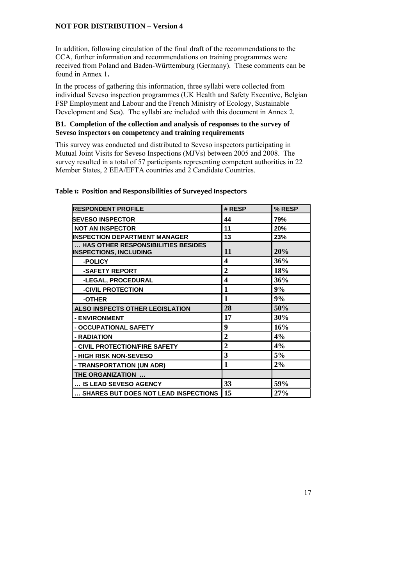In addition, following circulation of the final draft of the recommendations to the CCA, further information and recommendations on training programmes were received from Poland and Baden-Württemburg (Germany). These comments can be found in Annex 1**.** 

In the process of gathering this information, three syllabi were collected from individual Seveso inspection programmes (UK Health and Safety Executive, Belgian FSP Employment and Labour and the French Ministry of Ecology, Sustainable Development and Sea). The syllabi are included with this document in Annex 2.

#### **B1. Completion of the collection and analysis of responses to the survey of Seveso inspectors on competency and training requirements**

This survey was conducted and distributed to Seveso inspectors participating in Mutual Joint Visits for Seveso Inspections (MJVs) between 2005 and 2008. The survey resulted in a total of 57 participants representing competent authorities in 22 Member States, 2 EEA/EFTA countries and 2 Candidate Countries.

## **Table 1: Position and Responsibilities of Surveyed Inspectors**

| <b>RESPONDENT PROFILE</b>                                           | # RESP         | % RESP |
|---------------------------------------------------------------------|----------------|--------|
| <b>SEVESO INSPECTOR</b>                                             | 44             | 79%    |
| <b>NOT AN INSPECTOR</b>                                             | 11             | 20%    |
| <b>INSPECTION DEPARTMENT MANAGER</b>                                | 13             | 23%    |
| HAS OTHER RESPONSIBILITIES BESIDES<br><b>INSPECTIONS, INCLUDING</b> | 11             | 20%    |
| -POLICY                                                             | 4              | 36%    |
| -SAFETY REPORT                                                      | $\overline{2}$ | 18%    |
| -LEGAL, PROCEDURAL                                                  | 4              | 36%    |
| -CIVIL PROTECTION                                                   | 1              | 9%     |
| -OTHER                                                              | $\mathbf{1}$   | 9%     |
| <b>ALSO INSPECTS OTHER LEGISLATION</b>                              | 28             | 50%    |
| - ENVIRONMENT                                                       | 17             | 30%    |
| - OCCUPATIONAL SAFETY                                               | 9              | 16%    |
| - RADIATION                                                         | $\mathbf 2$    | 4%     |
| - CIVIL PROTECTION/FIRE SAFETY                                      | $\overline{2}$ | 4%     |
| - HIGH RISK NON-SEVESO                                              | 3              | 5%     |
| - TRANSPORTATION (UN ADR)                                           | $\mathbf{1}$   | 2%     |
| THE ORGANIZATION                                                    |                |        |
| IS LEAD SEVESO AGENCY                                               | 33             | 59%    |
| SHARES BUT DOES NOT LEAD INSPECTIONS                                | 15             | 27%    |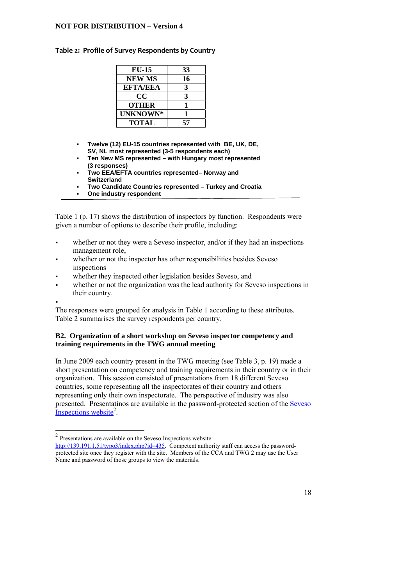#### **Table 2: Profile of Survey Respondents by Country**

| $EU-15$         | 33           |
|-----------------|--------------|
| <b>NEW MS</b>   | 16           |
| <b>EFTA/EEA</b> | З            |
| CC              | $\mathbf{R}$ |
| <b>OTHER</b>    | ш            |
| UNKNOWN*        |              |
| <b>TOTAL</b>    | 57           |
|                 |              |

- **Twelve (12) EU-15 countries represented with BE, UK, DE, SV, NL most represented (3-5 respondents each)**
- **Ten New MS represented with Hungary most represented (3 responses)**
- **Two EEA/EFTA countries represented– Norway and Switzerland**
- **Two Candidate Countries represented Turkey and Croatia**
- **One industry respondent**

Table 1 (p. 17) shows the distribution of inspectors by function. Respondents were given a number of options to describe their profile, including:

- whether or not they were a Seveso inspector, and/or if they had an inspections management role,
- whether or not the inspector has other responsibilities besides Seveso inspections
- whether they inspected other legislation besides Seveso, and
- whether or not the organization was the lead authority for Seveso inspections in their country.
- .

<u>.</u>

The responses were grouped for analysis in Table 1 according to these attributes. Table 2 summarises the survey respondents per country.

## **B2. Organization of a short workshop on Seveso inspector competency and training requirements in the TWG annual meeting**

In June 2009 each country present in the TWG meeting (see Table 3, p. 19) made a short presentation on competency and training requirements in their country or in their organization. This session consisted of presentations from 18 different Seveso countries, some representing all the inspectorates of their country and others representing only their own inspectorate. The perspective of industry was also presented. Presentatinos are available in the password-protected section of the Seveso  $Inspections website<sup>2</sup>$ .

 $2$  Presentations are available on the Seveso Inspections website:

http://139.191.1.51/typo3/index.php?id=435. Competent authority staff can access the passwordprotected site once they register with the site. Members of the CCA and TWG 2 may use the User Name and password of those groups to view the materials.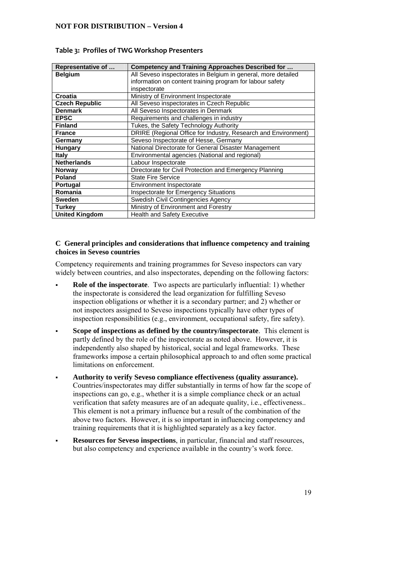| Representative of     | Competency and Training Approaches Described for               |
|-----------------------|----------------------------------------------------------------|
| <b>Belgium</b>        | All Seveso inspectorates in Belgium in general, more detailed  |
|                       | information on content training program for labour safety      |
|                       | inspectorate                                                   |
| Croatia               | Ministry of Environment Inspectorate                           |
| <b>Czech Republic</b> | All Seveso inspectorates in Czech Republic                     |
| <b>Denmark</b>        | All Seveso Inspectorates in Denmark                            |
| <b>EPSC</b>           | Requirements and challenges in industry                        |
| <b>Finland</b>        | Tukes, the Safety Technology Authority                         |
| <b>France</b>         | DRIRE (Regional Office for Industry, Research and Environment) |
| Germany               | Seveso Inspectorate of Hesse, Germany                          |
| Hungary               | National Directorate for General Disaster Management           |
| Italy                 | Environmental agencies (National and regional)                 |
| <b>Netherlands</b>    | Labour Inspectorate                                            |
| <b>Norway</b>         | Directorate for Civil Protection and Emergency Planning        |
| Poland                | <b>State Fire Service</b>                                      |
| <b>Portugal</b>       | Environment Inspectorate                                       |
| Romania               | Inspectorate for Emergency Situations                          |
| <b>Sweden</b>         | Swedish Civil Contingencies Agency                             |
| <b>Turkey</b>         | Ministry of Environment and Forestry                           |
| <b>United Kingdom</b> | <b>Health and Safety Executive</b>                             |

#### **Table 3: Profiles of TWG Workshop Presenters**

#### **C General principles and considerations that influence competency and training choices in Seveso countries**

Competency requirements and training programmes for Seveso inspectors can vary widely between countries, and also inspectorates, depending on the following factors:

- **Role of the inspectorate**. Two aspects are particularly influential: 1) whether the inspectorate is considered the lead organization for fulfilling Seveso inspection obligations or whether it is a secondary partner; and 2) whether or not inspectors assigned to Seveso inspections typically have other types of inspection responsibilities (e.g., environment, occupational safety, fire safety).
- **Scope of inspections as defined by the country/inspectorate**. This element is partly defined by the role of the inspectorate as noted above. However, it is independently also shaped by historical, social and legal frameworks. These frameworks impose a certain philosophical approach to and often some practical limitations on enforcement.
- **Authority to verify Seveso compliance effectiveness (quality assurance).**  Countries/inspectorates may differ substantially in terms of how far the scope of inspections can go, e.g., whether it is a simple compliance check or an actual verification that safety measures are of an adequate quality, i.e., effectiveness.. This element is not a primary influence but a result of the combination of the above two factors. However, it is so important in influencing competency and training requirements that it is highlighted separately as a key factor.
- **Resources for Seveso inspections**, in particular, financial and staff resources, but also competency and experience available in the country's work force.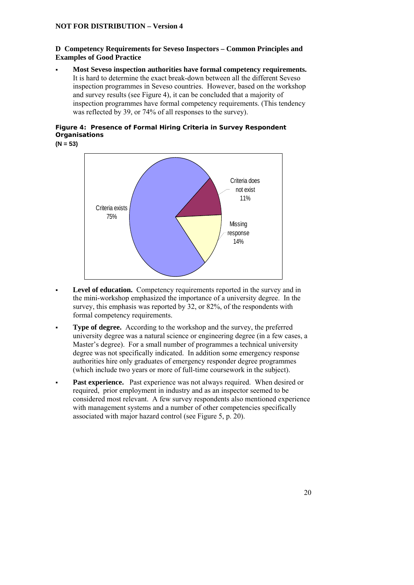## **D Competency Requirements for Seveso Inspectors – Common Principles and Examples of Good Practice**

 **Most Seveso inspection authorities have formal competency requirements.**  It is hard to determine the exact break-down between all the different Seveso inspection programmes in Seveso countries. However, based on the workshop and survey results (see Figure 4), it can be concluded that a majority of inspection programmes have formal competency requirements. (This tendency was reflected by 39, or 74% of all responses to the survey).

## **Figure 4: Presence of Formal Hiring Criteria in Survey Respondent Organisations**

**(N = 53)** 



- **Level of education.** Competency requirements reported in the survey and in the mini-workshop emphasized the importance of a university degree. In the survey, this emphasis was reported by 32, or 82%, of the respondents with formal competency requirements.
- **Type of degree.** According to the workshop and the survey, the preferred university degree was a natural science or engineering degree (in a few cases, a Master's degree). For a small number of programmes a technical university degree was not specifically indicated. In addition some emergency response authorities hire only graduates of emergency responder degree programmes (which include two years or more of full-time coursework in the subject).
- **Past experience.** Past experience was not always required. When desired or required, prior employment in industry and as an inspector seemed to be considered most relevant. A few survey respondents also mentioned experience with management systems and a number of other competencies specifically associated with major hazard control (see Figure 5, p. 20).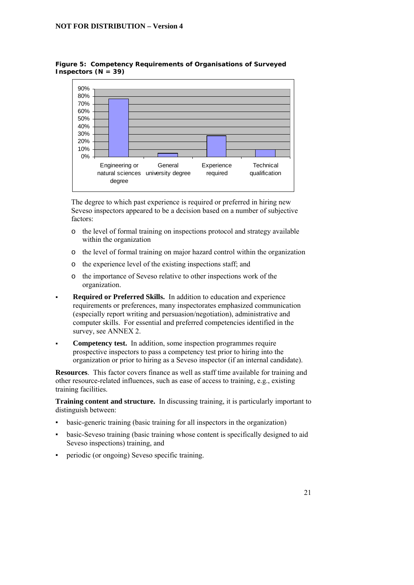

#### **Figure 5: Competency Requirements of Organisations of Surveyed Inspectors (N = 39)**

The degree to which past experience is required or preferred in hiring new Seveso inspectors appeared to be a decision based on a number of subjective factors:

- o the level of formal training on inspections protocol and strategy available within the organization
- o the level of formal training on major hazard control within the organization
- o the experience level of the existing inspections staff; and
- o the importance of Seveso relative to other inspections work of the organization.
- **Required or Preferred Skills.** In addition to education and experience requirements or preferences, many inspectorates emphasized communication (especially report writing and persuasion/negotiation), administrative and computer skills. For essential and preferred competencies identified in the survey, see ANNEX 2.
- **Competency test.** In addition, some inspection programmes require prospective inspectors to pass a competency test prior to hiring into the organization or prior to hiring as a Seveso inspector (if an internal candidate).

**Resources**. This factor covers finance as well as staff time available for training and other resource-related influences, such as ease of access to training, e.g., existing training facilities.

**Training content and structure.** In discussing training, it is particularly important to distinguish between:

- basic-generic training (basic training for all inspectors in the organization)
- basic-Seveso training (basic training whose content is specifically designed to aid Seveso inspections) training, and
- periodic (or ongoing) Seveso specific training.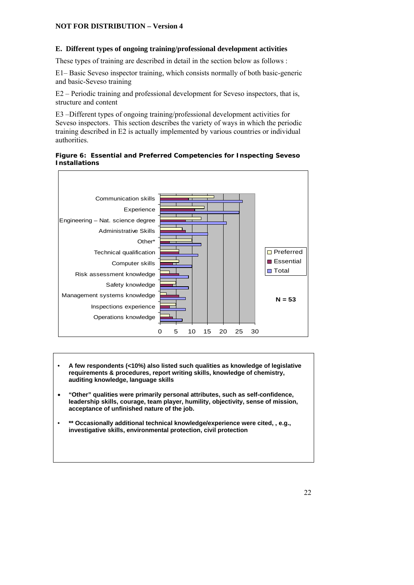#### **E. Different types of ongoing training/professional development activities**

These types of training are described in detail in the section below as follows :

E1– Basic Seveso inspector training, which consists normally of both basic-generic and basic-Seveso training

E2 – Periodic training and professional development for Seveso inspectors, that is, structure and content

E3 –Different types of ongoing training/professional development activities for Seveso inspectors. This section describes the variety of ways in which the periodic training described in E2 is actually implemented by various countries or individual authorities.

#### **Figure 6: Essential and Preferred Competencies for Inspecting Seveso Installations**



- **A few respondents (<10%) also listed such qualities as knowledge of legislative requirements & procedures, report writing skills, knowledge of chemistry, auditing knowledge, language skills**
- **"Other" qualities were primarily personal attributes, such as self-confidence, leadership skills, courage, team player, humility, objectivity, sense of mission, acceptance of unfinished nature of the job.**
- **\*\* Occasionally additional technical knowledge/experience were cited, , e.g., investigative skills, environmental protection, civil protection**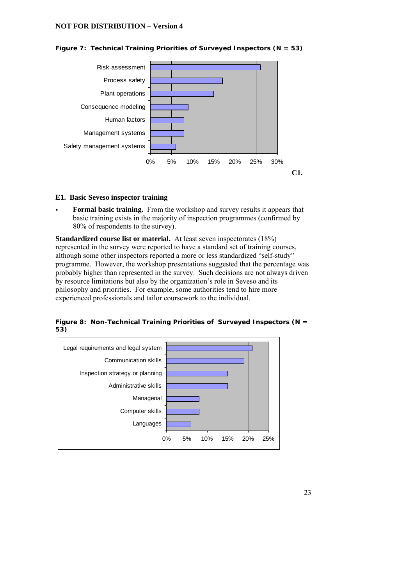

**Figure 7: Technical Training Priorities of Surveyed Inspectors (N = 53)** 

#### **E1. Basic Seveso inspector training**

 **Formal basic training.** From the workshop and survey results it appears that basic training exists in the majority of inspection programmes (confirmed by 80% of respondents to the survey).

**Standardized course list or material.** At least seven inspectorates (18%) represented in the survey were reported to have a standard set of training courses, although some other inspectors reported a more or less standardized "self-study" programme. However, the workshop presentations suggested that the percentage was probably higher than represented in the survey. Such decisions are not always driven by resource limitations but also by the organization's role in Seveso and its philosophy and priorities. For example, some authorities tend to hire more experienced professionals and tailor coursework to the individual.



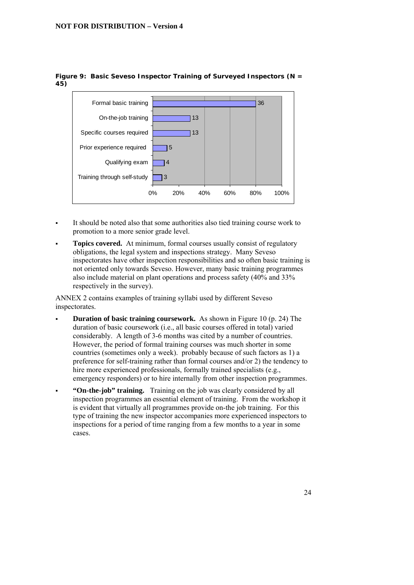

#### **Figure 9: Basic Seveso Inspector Training of Surveyed Inspectors (N = 45)**

- It should be noted also that some authorities also tied training course work to promotion to a more senior grade level.
- **Topics covered.** At minimum, formal courses usually consist of regulatory obligations, the legal system and inspections strategy. Many Seveso inspectorates have other inspection responsibilities and so often basic training is not oriented only towards Seveso. However, many basic training programmes also include material on plant operations and process safety (40% and 33% respectively in the survey).

ANNEX 2 contains examples of training syllabi used by different Seveso inspectorates.

- **Duration of basic training coursework.** As shown in Figure 10 (p. 24) The duration of basic coursework (i.e., all basic courses offered in total) varied considerably. A length of 3-6 months was cited by a number of countries. However, the period of formal training courses was much shorter in some countries (sometimes only a week). probably because of such factors as 1) a preference for self-training rather than formal courses and/or 2) the tendency to hire more experienced professionals, formally trained specialists (e.g., emergency responders) or to hire internally from other inspection programmes.
	- **"On-the-job" training.** Training on the job was clearly considered by all inspection programmes an essential element of training. From the workshop it is evident that virtually all programmes provide on-the job training. For this type of training the new inspector accompanies more experienced inspectors to inspections for a period of time ranging from a few months to a year in some cases.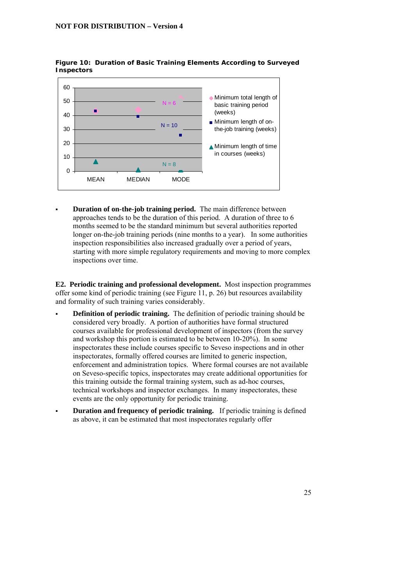

#### **Figure 10: Duration of Basic Training Elements According to Surveyed Inspectors**

 **Duration of on-the-job training period.** The main difference between approaches tends to be the duration of this period. A duration of three to 6 months seemed to be the standard minimum but several authorities reported longer on-the-job training periods (nine months to a year). In some authorities inspection responsibilities also increased gradually over a period of years, starting with more simple regulatory requirements and moving to more complex inspections over time.

**E2. Periodic training and professional development.** Most inspection programmes offer some kind of periodic training (see Figure 11, p. 26) but resources availability and formality of such training varies considerably.

- **Definition of periodic training.** The definition of periodic training should be considered very broadly. A portion of authorities have formal structured courses available for professional development of inspectors (from the survey and workshop this portion is estimated to be between 10-20%). In some inspectorates these include courses specific to Seveso inspections and in other inspectorates, formally offered courses are limited to generic inspection, enforcement and administration topics. Where formal courses are not available on Seveso-specific topics, inspectorates may create additional opportunities for this training outside the formal training system, such as ad-hoc courses, technical workshops and inspector exchanges. In many inspectorates, these events are the only opportunity for periodic training.
- **Duration and frequency of periodic training.** If periodic training is defined as above, it can be estimated that most inspectorates regularly offer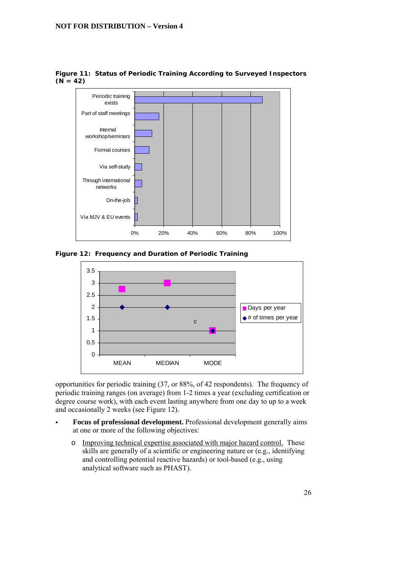

**Figure 11: Status of Periodic Training According to Surveyed Inspectors**   $(N = 42)$ 





opportunities for periodic training (37, or 88%, of 42 respondents). The frequency of periodic training ranges (on average) from 1-2 times a year (excluding certification or degree course work), with each event lasting anywhere from one day to up to a week and occasionally 2 weeks (see Figure 12).

- **Focus of professional development.** Professional development generally aims at one or more of the following objectives:
	- o Improving technical expertise associated with major hazard control. These skills are generally of a scientific or engineering nature or (e.g., identifying and controlling potential reactive hazards) or tool-based (e.g., using analytical software such as PHAST).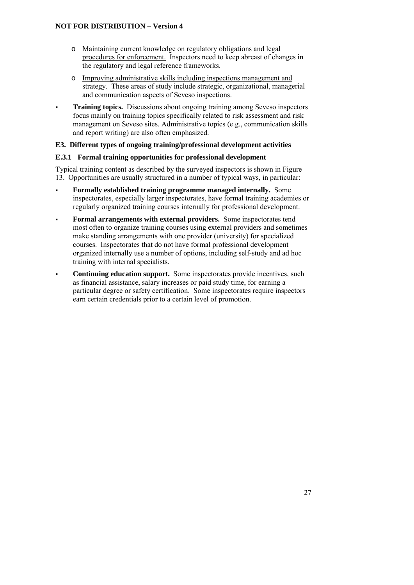- o Maintaining current knowledge on regulatory obligations and legal procedures for enforcement. Inspectors need to keep abreast of changes in the regulatory and legal reference frameworks.
- o Improving administrative skills including inspections management and strategy.These areas of study include strategic, organizational, managerial and communication aspects of Seveso inspections.
- **Training topics.** Discussions about ongoing training among Seveso inspectors focus mainly on training topics specifically related to risk assessment and risk management on Seveso sites. Administrative topics (e.g., communication skills and report writing) are also often emphasized.

## **E3. Different types of ongoing training/professional development activities**

## **E.3.1 Formal training opportunities for professional development**

Typical training content as described by the surveyed inspectors is shown in Figure 13. Opportunities are usually structured in a number of typical ways, in particular:

- **Formally established training programme managed internally.** Some inspectorates, especially larger inspectorates, have formal training academies or regularly organized training courses internally for professional development.
- **Formal arrangements with external providers.** Some inspectorates tend most often to organize training courses using external providers and sometimes make standing arrangements with one provider (university) for specialized courses. Inspectorates that do not have formal professional development organized internally use a number of options, including self-study and ad hoc training with internal specialists.
- **Continuing education support.** Some inspectorates provide incentives, such as financial assistance, salary increases or paid study time, for earning a particular degree or safety certification. Some inspectorates require inspectors earn certain credentials prior to a certain level of promotion.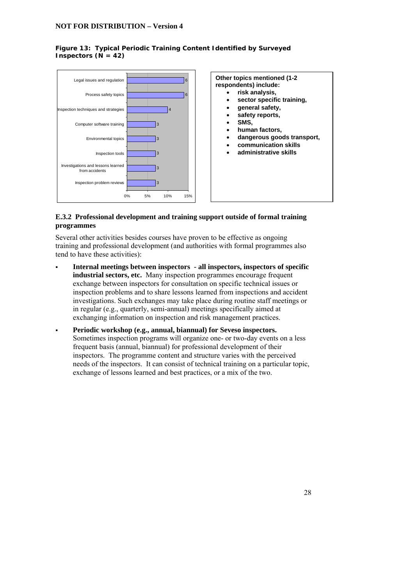#### **Figure 13: Typical Periodic Training Content Identified by Surveyed Inspectors**  $(N = 42)$



## **E.3.2 Professional development and training support outside of formal training programmes**

Several other activities besides courses have proven to be effective as ongoing training and professional development (and authorities with formal programmes also tend to have these activities):

- **Internal meetings between inspectors all inspectors, inspectors of specific industrial sectors, etc.** Many inspection programmes encourage frequent exchange between inspectors for consultation on specific technical issues or inspection problems and to share lessons learned from inspections and accident investigations. Such exchanges may take place during routine staff meetings or in regular (e.g., quarterly, semi-annual) meetings specifically aimed at exchanging information on inspection and risk management practices.
- **Periodic workshop (e.g., annual, biannual) for Seveso inspectors.** Sometimes inspection programs will organize one- or two-day events on a less frequent basis (annual, biannual) for professional development of their inspectors. The programme content and structure varies with the perceived needs of the inspectors. It can consist of technical training on a particular topic, exchange of lessons learned and best practices, or a mix of the two.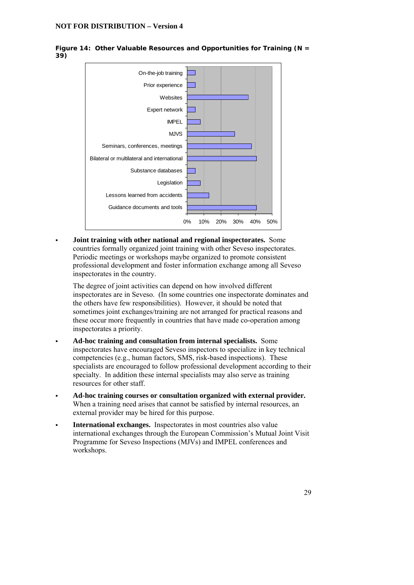



 **Joint training with other national and regional inspectorates.** Some countries formally organized joint training with other Seveso inspectorates. Periodic meetings or workshops maybe organized to promote consistent professional development and foster information exchange among all Seveso inspectorates in the country.

The degree of joint activities can depend on how involved different inspectorates are in Seveso. (In some countries one inspectorate dominates and the others have few responsibilities). However, it should be noted that sometimes joint exchanges/training are not arranged for practical reasons and these occur more frequently in countries that have made co-operation among inspectorates a priority.

- **Ad-hoc training and consultation from internal specialists.** Some inspectorates have encouraged Seveso inspectors to specialize in key technical competencies (e.g., human factors, SMS, risk-based inspections). These specialists are encouraged to follow professional development according to their specialty. In addition these internal specialists may also serve as training resources for other staff.
- **Ad-hoc training courses or consultation organized with external provider.**  When a training need arises that cannot be satisfied by internal resources, an external provider may be hired for this purpose.
- **International exchanges.** Inspectorates in most countries also value international exchanges through the European Commission's Mutual Joint Visit Programme for Seveso Inspections (MJVs) and IMPEL conferences and workshops.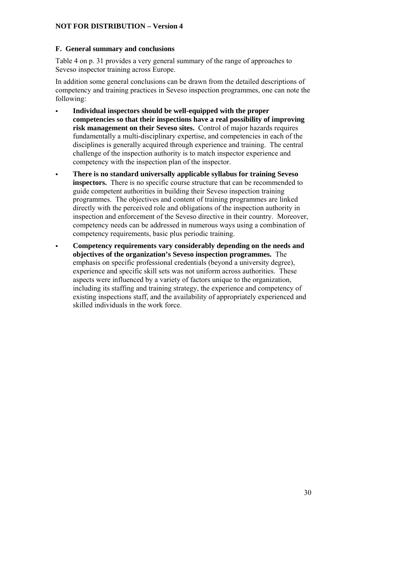#### **F. General summary and conclusions**

Table 4 on p. 31 provides a very general summary of the range of approaches to Seveso inspector training across Europe.

In addition some general conclusions can be drawn from the detailed descriptions of competency and training practices in Seveso inspection programmes, one can note the following:

- **Individual inspectors should be well-equipped with the proper competencies so that their inspections have a real possibility of improving risk management on their Seveso sites.** Control of major hazards requires fundamentally a multi-disciplinary expertise, and competencies in each of the disciplines is generally acquired through experience and training. The central challenge of the inspection authority is to match inspector experience and competency with the inspection plan of the inspector.
- **There is no standard universally applicable syllabus for training Seveso inspectors.** There is no specific course structure that can be recommended to guide competent authorities in building their Seveso inspection training programmes. The objectives and content of training programmes are linked directly with the perceived role and obligations of the inspection authority in inspection and enforcement of the Seveso directive in their country. Moreover, competency needs can be addressed in numerous ways using a combination of competency requirements, basic plus periodic training.
- **Competency requirements vary considerably depending on the needs and objectives of the organization's Seveso inspection programmes.** The emphasis on specific professional credentials (beyond a university degree), experience and specific skill sets was not uniform across authorities. These aspects were influenced by a variety of factors unique to the organization, including its staffing and training strategy, the experience and competency of existing inspections staff, and the availability of appropriately experienced and skilled individuals in the work force.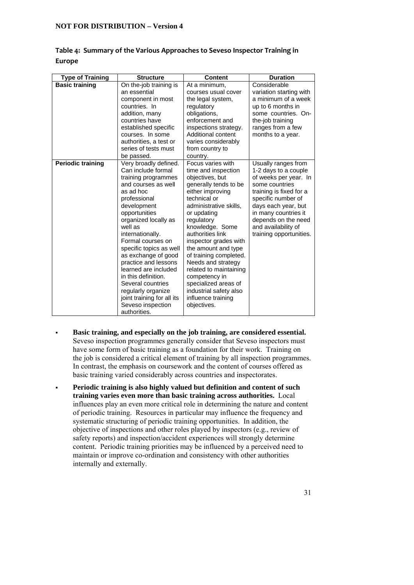| <b>Type of Training</b>  | <b>Structure</b>                                 | <b>Content</b>                               | <b>Duration</b>         |
|--------------------------|--------------------------------------------------|----------------------------------------------|-------------------------|
| <b>Basic training</b>    | On the-job training is                           | At a minimum,                                | Considerable            |
|                          | an essential                                     | courses usual cover                          | variation starting with |
|                          | component in most                                | the legal system,                            | a minimum of a week     |
|                          | countries. In                                    | regulatory                                   | up to 6 months in       |
|                          | addition, many                                   | obligations,                                 | some countries. On-     |
|                          | countries have                                   | enforcement and                              | the-job training        |
|                          | established specific                             | inspections strategy.                        | ranges from a few       |
|                          | courses. In some                                 | Additional content                           | months to a year.       |
|                          | authorities, a test or                           | varies considerably                          |                         |
|                          | series of tests must                             | from country to                              |                         |
|                          | be passed.                                       | country.                                     |                         |
| <b>Periodic training</b> | Very broadly defined.                            | Focus varies with                            | Usually ranges from     |
|                          | Can include formal                               | time and inspection                          | 1-2 days to a couple    |
|                          | training programmes                              | objectives, but                              | of weeks per year. In   |
|                          | and courses as well                              | generally tends to be                        | some countries          |
|                          | as ad hoc                                        | either improving                             | training is fixed for a |
|                          | professional                                     | technical or                                 | specific number of      |
|                          | development                                      | administrative skills.                       | days each year, but     |
|                          | opportunities                                    | or updating                                  | in many countries it    |
|                          | organized locally as                             | regulatory                                   | depends on the need     |
|                          | well as                                          | knowledge. Some                              | and availability of     |
|                          | internationally.                                 | authorities link                             | training opportunities. |
|                          | Formal courses on                                | inspector grades with                        |                         |
|                          | specific topics as well                          | the amount and type                          |                         |
|                          | as exchange of good                              | of training completed.                       |                         |
|                          | practice and lessons                             | Needs and strategy                           |                         |
|                          | learned are included<br>in this definition.      | related to maintaining                       |                         |
|                          | Several countries                                | competency in<br>specialized areas of        |                         |
|                          |                                                  |                                              |                         |
|                          | regularly organize<br>joint training for all its | industrial safety also<br>influence training |                         |
|                          | Seveso inspection                                | objectives.                                  |                         |
|                          | authorities.                                     |                                              |                         |

|               | Table 4: Summary of the Various Approaches to Seveso Inspector Training in |  |
|---------------|----------------------------------------------------------------------------|--|
| <b>Europe</b> |                                                                            |  |

- **Basic training, and especially on the job training, are considered essential.**  Seveso inspection programmes generally consider that Seveso inspectors must have some form of basic training as a foundation for their work. Training on the job is considered a critical element of training by all inspection programmes. In contrast, the emphasis on coursework and the content of courses offered as basic training varied considerably across countries and inspectorates.
- **Periodic training is also highly valued but definition and content of such training varies even more than basic training across authorities.** Local influences play an even more critical role in determining the nature and content of periodic training. Resources in particular may influence the frequency and systematic structuring of periodic training opportunities. In addition, the objective of inspections and other roles played by inspectors (e.g., review of safety reports) and inspection/accident experiences will strongly determine content. Periodic training priorities may be influenced by a perceived need to maintain or improve co-ordination and consistency with other authorities internally and externally.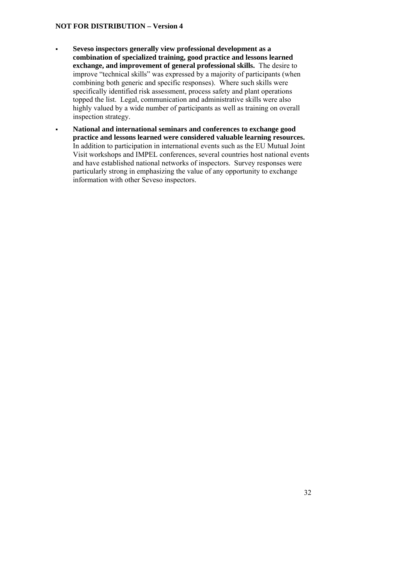- **Seveso inspectors generally view professional development as a combination of specialized training, good practice and lessons learned exchange, and improvement of general professional skills.** The desire to improve "technical skills" was expressed by a majority of participants (when combining both generic and specific responses). Where such skills were specifically identified risk assessment, process safety and plant operations topped the list. Legal, communication and administrative skills were also highly valued by a wide number of participants as well as training on overall inspection strategy.
- **National and international seminars and conferences to exchange good practice and lessons learned were considered valuable learning resources.**  In addition to participation in international events such as the EU Mutual Joint Visit workshops and IMPEL conferences, several countries host national events and have established national networks of inspectors. Survey responses were particularly strong in emphasizing the value of any opportunity to exchange information with other Seveso inspectors.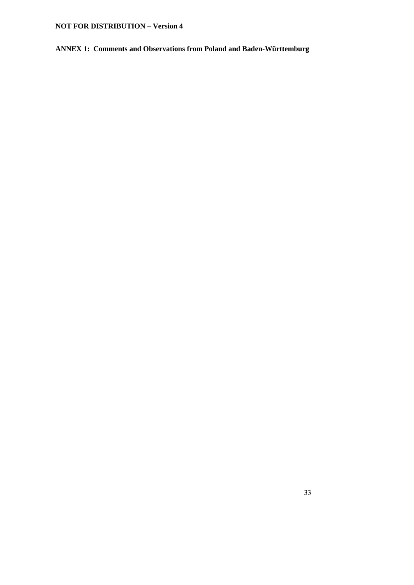**ANNEX 1: Comments and Observations from Poland and Baden-Württemburg**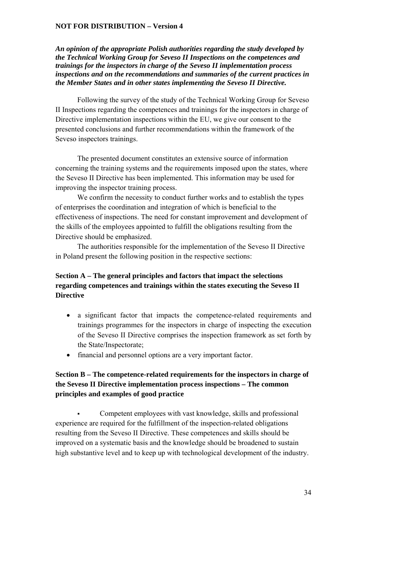*An opinion of the appropriate Polish authorities regarding the study developed by the Technical Working Group for Seveso II Inspections on the competences and trainings for the inspectors in charge of the Seveso II implementation process inspections and on the recommendations and summaries of the current practices in the Member States and in other states implementing the Seveso II Directive.* 

Following the survey of the study of the Technical Working Group for Seveso II Inspections regarding the competences and trainings for the inspectors in charge of Directive implementation inspections within the EU, we give our consent to the presented conclusions and further recommendations within the framework of the Seveso inspectors trainings.

The presented document constitutes an extensive source of information concerning the training systems and the requirements imposed upon the states, where the Seveso II Directive has been implemented. This information may be used for improving the inspector training process.

We confirm the necessity to conduct further works and to establish the types of enterprises the coordination and integration of which is beneficial to the effectiveness of inspections. The need for constant improvement and development of the skills of the employees appointed to fulfill the obligations resulting from the Directive should be emphasized.

The authorities responsible for the implementation of the Seveso II Directive in Poland present the following position in the respective sections:

## **Section A – The general principles and factors that impact the selections regarding competences and trainings within the states executing the Seveso II Directive**

- a significant factor that impacts the competence-related requirements and trainings programmes for the inspectors in charge of inspecting the execution of the Seveso II Directive comprises the inspection framework as set forth by the State/Inspectorate;
- financial and personnel options are a very important factor.

## **Section B – The competence-related requirements for the inspectors in charge of the Seveso II Directive implementation process inspections – The common principles and examples of good practice**

 Competent employees with vast knowledge, skills and professional experience are required for the fulfillment of the inspection-related obligations resulting from the Seveso II Directive. These competences and skills should be improved on a systematic basis and the knowledge should be broadened to sustain high substantive level and to keep up with technological development of the industry.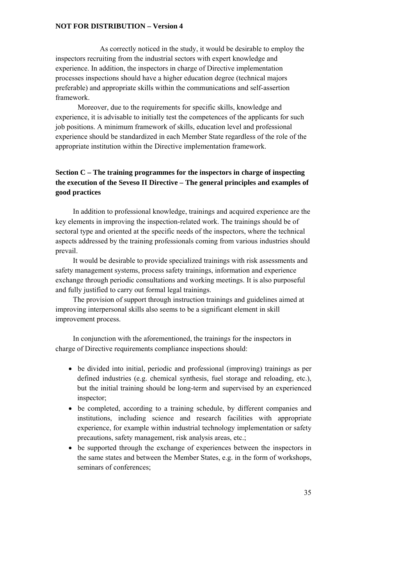As correctly noticed in the study, it would be desirable to employ the inspectors recruiting from the industrial sectors with expert knowledge and experience. In addition, the inspectors in charge of Directive implementation processes inspections should have a higher education degree (technical majors preferable) and appropriate skills within the communications and self-assertion framework.

 Moreover, due to the requirements for specific skills, knowledge and experience, it is advisable to initially test the competences of the applicants for such job positions. A minimum framework of skills, education level and professional experience should be standardized in each Member State regardless of the role of the appropriate institution within the Directive implementation framework.

## **Section C – The training programmes for the inspectors in charge of inspecting the execution of the Seveso II Directive – The general principles and examples of good practices**

In addition to professional knowledge, trainings and acquired experience are the key elements in improving the inspection-related work. The trainings should be of sectoral type and oriented at the specific needs of the inspectors, where the technical aspects addressed by the training professionals coming from various industries should prevail.

It would be desirable to provide specialized trainings with risk assessments and safety management systems, process safety trainings, information and experience exchange through periodic consultations and working meetings. It is also purposeful and fully justified to carry out formal legal trainings.

The provision of support through instruction trainings and guidelines aimed at improving interpersonal skills also seems to be a significant element in skill improvement process.

In conjunction with the aforementioned, the trainings for the inspectors in charge of Directive requirements compliance inspections should:

- be divided into initial, periodic and professional (improving) trainings as per defined industries (e.g. chemical synthesis, fuel storage and reloading, etc.), but the initial training should be long-term and supervised by an experienced inspector;
- be completed, according to a training schedule, by different companies and institutions, including science and research facilities with appropriate experience, for example within industrial technology implementation or safety precautions, safety management, risk analysis areas, etc.;
- be supported through the exchange of experiences between the inspectors in the same states and between the Member States, e.g. in the form of workshops, seminars of conferences;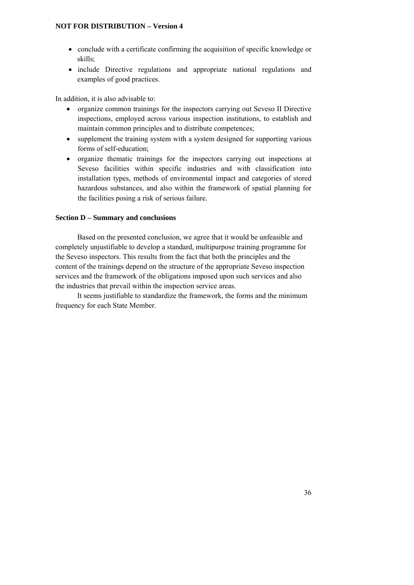- conclude with a certificate confirming the acquisition of specific knowledge or skills;
- include Directive regulations and appropriate national regulations and examples of good practices.

In addition, it is also advisable to:

- organize common trainings for the inspectors carrying out Seveso II Directive inspections, employed across various inspection institutions, to establish and maintain common principles and to distribute competences;
- supplement the training system with a system designed for supporting various forms of self-education;
- organize thematic trainings for the inspectors carrying out inspections at Seveso facilities within specific industries and with classification into installation types, methods of environmental impact and categories of stored hazardous substances, and also within the framework of spatial planning for the facilities posing a risk of serious failure.

#### **Section D – Summary and conclusions**

Based on the presented conclusion, we agree that it would be unfeasible and completely unjustifiable to develop a standard, multipurpose training programme for the Seveso inspectors. This results from the fact that both the principles and the content of the trainings depend on the structure of the appropriate Seveso inspection services and the framework of the obligations imposed upon such services and also the industries that prevail within the inspection service areas.

It seems justifiable to standardize the framework, the forms and the minimum frequency for each State Member.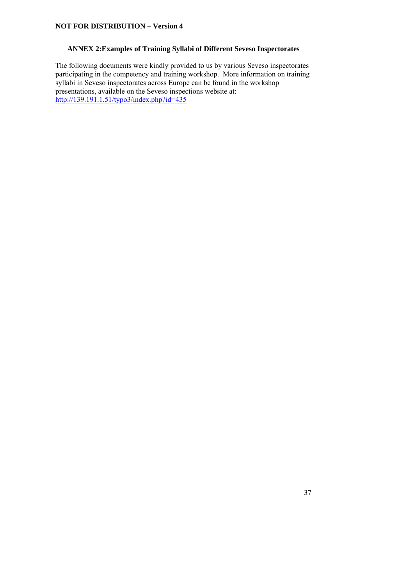#### **ANNEX 2:Examples of Training Syllabi of Different Seveso Inspectorates**

The following documents were kindly provided to us by various Seveso inspectorates participating in the competency and training workshop. More information on training participating in the competency and training workshop. syllabi in Seveso inspectorates across Europe can be found in the workshop presentations, available on the Seveso inspections website at: http://139.191.1.51/typo3/index.php?id=435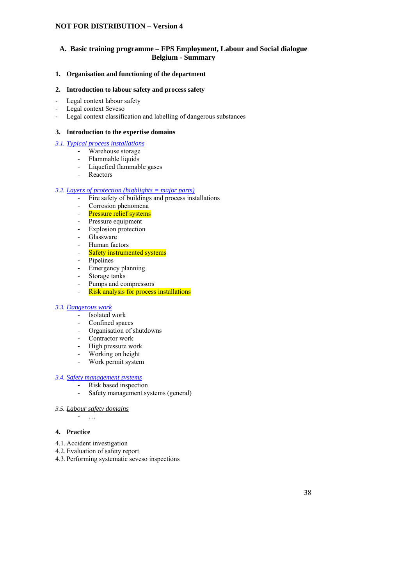#### **A. Basic training programme – FPS Employment, Labour and Social dialogue Belgium - Summary**

#### **1. Organisation and functioning of the department**

#### **2. Introduction to labour safety and process safety**

- Legal context labour safety
- Legal context Seveso
- Legal context classification and labelling of dangerous substances

#### **3. Introduction to the expertise domains**

- *3.1. Typical process installations*
	- Warehouse storage
	- Flammable liquids
	- Liquefied flammable gases
	- Reactors

#### *3.2. Layers of protection (highlights = major parts)*

- Fire safety of buildings and process installations
- Corrosion phenomena
- Pressure relief systems
- Pressure equipment
- Explosion protection
- Glassware
- Human factors
- Safety instrumented systems
- Pipelines
- Emergency planning
- Storage tanks
- Pumps and compressors
- Risk analysis for process installations

#### *3.3. Dangerous work*

- Isolated work
- Confined spaces
- Organisation of shutdowns
- Contractor work
- High pressure work
- Working on height
- Work permit system

## *3.4. Safety management systems*

- Risk based inspection
- Safety management systems (general)
- *3.5. Labour safety domains*

- …

#### **4. Practice**

- 4.1. Accident investigation
- 4.2.Evaluation of safety report
- 4.3. Performing systematic seveso inspections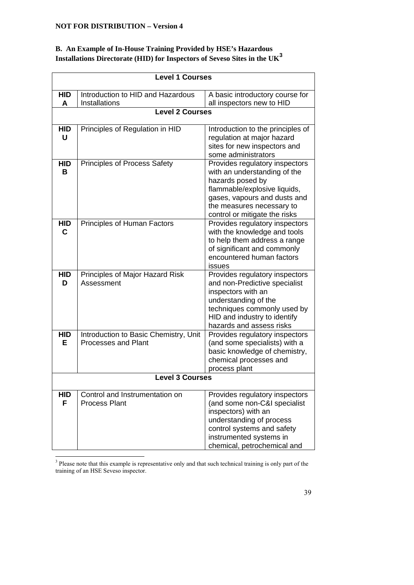## **B. An Example of In-House Training Provided by HSE's Hazardous Installations Directorate (HID) for Inspectors of Seveso Sites in the UK<sup>3</sup>**

| <b>Level 1 Courses</b> |                                                                     |                                                                                                                                                                                                                  |  |  |
|------------------------|---------------------------------------------------------------------|------------------------------------------------------------------------------------------------------------------------------------------------------------------------------------------------------------------|--|--|
| <b>HID</b><br>A        | Introduction to HID and Hazardous<br>Installations                  | A basic introductory course for<br>all inspectors new to HID                                                                                                                                                     |  |  |
| Level 2 Courses        |                                                                     |                                                                                                                                                                                                                  |  |  |
| <b>HID</b><br>U        | Principles of Regulation in HID                                     | Introduction to the principles of<br>regulation at major hazard<br>sites for new inspectors and<br>some administrators                                                                                           |  |  |
| <b>HID</b><br>в        | Principles of Process Safety                                        | Provides regulatory inspectors<br>with an understanding of the<br>hazards posed by<br>flammable/explosive liquids,<br>gases, vapours and dusts and<br>the measures necessary to<br>control or mitigate the risks |  |  |
| <b>HID</b><br>C        | Principles of Human Factors                                         | Provides regulatory inspectors<br>with the knowledge and tools<br>to help them address a range<br>of significant and commonly<br>encountered human factors<br>issues                                             |  |  |
| <b>HID</b><br>D        | Principles of Major Hazard Risk<br>Assessment                       | Provides regulatory inspectors<br>and non-Predictive specialist<br>inspectors with an<br>understanding of the<br>techniques commonly used by<br>HID and industry to identify<br>hazards and assess risks         |  |  |
| <b>HID</b><br>Е        | Introduction to Basic Chemistry, Unit<br><b>Processes and Plant</b> | Provides regulatory inspectors<br>(and some specialists) with a<br>basic knowledge of chemistry,<br>chemical processes and<br>process plant                                                                      |  |  |
| <b>Level 3 Courses</b> |                                                                     |                                                                                                                                                                                                                  |  |  |
| <b>HID</b><br>F        | Control and Instrumentation on<br><b>Process Plant</b>              | Provides regulatory inspectors<br>(and some non-C&I specialist<br>inspectors) with an<br>understanding of process<br>control systems and safety<br>instrumented systems in<br>chemical, petrochemical and        |  |  |

The 3 Please note that this example is representative only and that such technical training is only part of the training of an HSE Seveso inspector.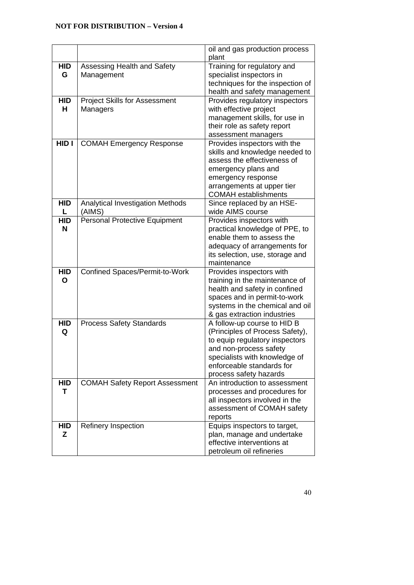|            |                                       | oil and gas production process                 |
|------------|---------------------------------------|------------------------------------------------|
|            |                                       | plant                                          |
| <b>HID</b> | Assessing Health and Safety           | Training for regulatory and                    |
| G          | Management                            | specialist inspectors in                       |
|            |                                       | techniques for the inspection of               |
|            |                                       | health and safety management                   |
| <b>HID</b> | <b>Project Skills for Assessment</b>  | Provides regulatory inspectors                 |
| н          | Managers                              | with effective project                         |
|            |                                       | management skills, for use in                  |
|            |                                       | their role as safety report                    |
|            |                                       | assessment managers                            |
| HID I      | <b>COMAH Emergency Response</b>       | Provides inspectors with the                   |
|            |                                       | skills and knowledge needed to                 |
|            |                                       | assess the effectiveness of                    |
|            |                                       | emergency plans and                            |
|            |                                       | emergency response                             |
|            |                                       | arrangements at upper tier                     |
|            |                                       | <b>COMAH</b> establishments                    |
| <b>HID</b> | Analytical Investigation Methods      | Since replaced by an HSE-                      |
|            | (AIMS)                                | wide AIMS course                               |
| <b>HID</b> | <b>Personal Protective Equipment</b>  | Provides inspectors with                       |
| N          |                                       | practical knowledge of PPE, to                 |
|            |                                       | enable them to assess the                      |
|            |                                       | adequacy of arrangements for                   |
|            |                                       | its selection, use, storage and<br>maintenance |
| <b>HID</b> | Confined Spaces/Permit-to-Work        | Provides inspectors with                       |
| O          |                                       | training in the maintenance of                 |
|            |                                       | health and safety in confined                  |
|            |                                       | spaces and in permit-to-work                   |
|            |                                       | systems in the chemical and oil                |
|            |                                       | & gas extraction industries                    |
| <b>HID</b> | <b>Process Safety Standards</b>       | A follow-up course to HID B                    |
| Q          |                                       | (Principles of Process Safety),                |
|            |                                       | to equip regulatory inspectors                 |
|            |                                       | and non-process safety                         |
|            |                                       | specialists with knowledge of                  |
|            |                                       | enforceable standards for                      |
|            |                                       | process safety hazards                         |
| <b>HID</b> | <b>COMAH Safety Report Assessment</b> | An introduction to assessment                  |
| т          |                                       | processes and procedures for                   |
|            |                                       | all inspectors involved in the                 |
|            |                                       | assessment of COMAH safety                     |
|            |                                       | reports                                        |
| <b>HID</b> | Refinery Inspection                   | Equips inspectors to target,                   |
| Z          |                                       | plan, manage and undertake                     |
|            |                                       | effective interventions at                     |
|            |                                       | petroleum oil refineries                       |